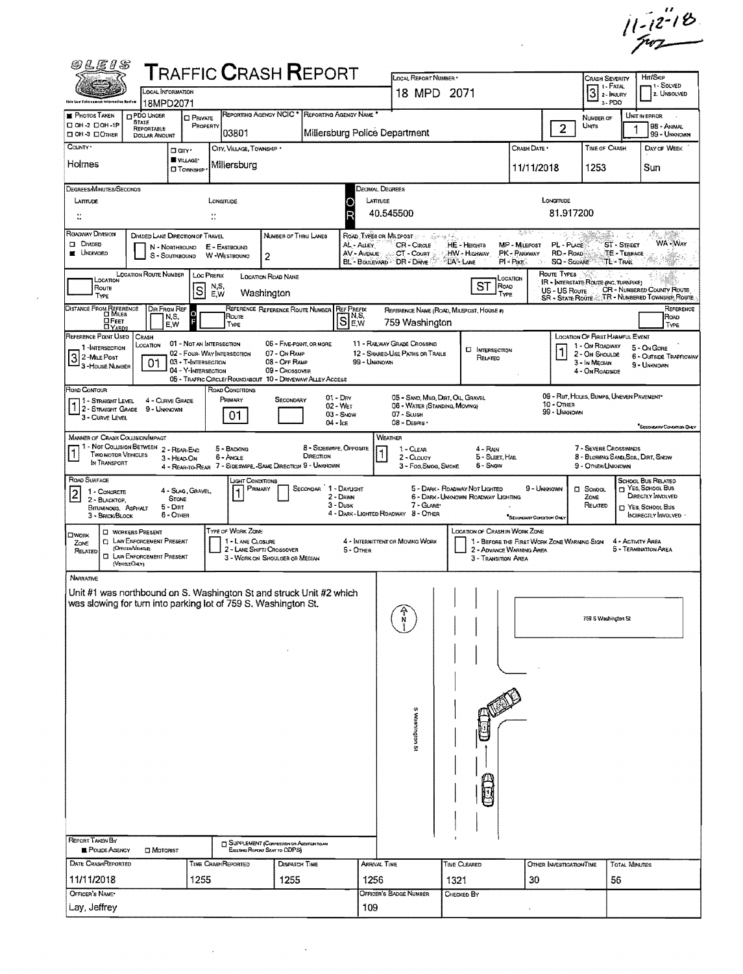$11 - 12 - 18$ 

 $\mathcal{L}^{\text{max}}_{\text{max}}$  and  $\mathcal{L}^{\text{max}}_{\text{max}}$ 

| <b>@LEIS</b>                                                                                                                          |                                                                                    |                                               |                                                                                |                                                                                  | <b>TRAFFIC CRASH REPORT</b>                     |                          | LOCAL REPORT NUMBER *                                              |                                                                                     |                               |                                   | <b>CRASH SEVERITY</b>                                               |                                    | Hm/Skip                                                                               |
|---------------------------------------------------------------------------------------------------------------------------------------|------------------------------------------------------------------------------------|-----------------------------------------------|--------------------------------------------------------------------------------|----------------------------------------------------------------------------------|-------------------------------------------------|--------------------------|--------------------------------------------------------------------|-------------------------------------------------------------------------------------|-------------------------------|-----------------------------------|---------------------------------------------------------------------|------------------------------------|---------------------------------------------------------------------------------------|
| Dhio Law Esterazwood Infermative Aprilan                                                                                              | LOCAL INFORMATION                                                                  |                                               |                                                                                |                                                                                  |                                                 |                          | 18 MPD 2071                                                        |                                                                                     |                               |                                   | $3$ :- FATAL                                                        | 1 - Fatal<br>$3 - PDO$             | 1 - Solved<br>2. UNSOLVED                                                             |
| <b>PHOTOS TAKEN</b>                                                                                                                   | 18MPD2071<br><b>D</b> PDO UNDER<br><b>STATE</b>                                    | <b>CI PRIVATE</b>                             |                                                                                |                                                                                  | REPORTING AGENCY NCIC * REPORTING AGENCY NAME * |                          |                                                                    |                                                                                     |                               |                                   | NUMBER OF                                                           |                                    | UNIT IN ERROR                                                                         |
| □ 0H-2 □ 0H-1P<br>DOH-3 DOTHER                                                                                                        | REPORTABLE<br>DOLLAR AMOUNT                                                        | PROPERTY                                      | 03801                                                                          |                                                                                  |                                                 |                          | Millersburg Police Department                                      |                                                                                     |                               | $\overline{2}$                    | <b>UNITS</b>                                                        |                                    | 98 - ANIMAL<br>99 - UNKNOWN                                                           |
| COUNTY <sup>*</sup>                                                                                                                   |                                                                                    | Darr <sup>.</sup><br>WILLAGE*                 | CITY, VILLAGE, TOWNSHIP *                                                      |                                                                                  |                                                 |                          |                                                                    |                                                                                     | Crash Date *                  |                                   | TIME OF CRASH                                                       |                                    | DAY OF WEEK                                                                           |
| Holmes                                                                                                                                |                                                                                    | <b>IT</b> TOWNSHIP                            | Millersburg                                                                    |                                                                                  |                                                 |                          |                                                                    |                                                                                     | 11/11/2018                    |                                   | 1253                                                                |                                    | Sun                                                                                   |
| DEGREES/MINUTES/SECONDS                                                                                                               |                                                                                    |                                               |                                                                                |                                                                                  |                                                 |                          | Decimal Degrees                                                    |                                                                                     |                               |                                   |                                                                     |                                    |                                                                                       |
| LATITUDE<br>$\ddot{\ddot{\Omega}}$                                                                                                    |                                                                                    |                                               | LONGITUDE<br>$\ddot{\ddot{\phantom{a}}}\,$                                     |                                                                                  |                                                 |                          | LATITUDE<br>40.545500                                              |                                                                                     |                               | LONGITUDE<br>81.917200            |                                                                     |                                    |                                                                                       |
| ROADWAY DIVISION                                                                                                                      | DIVIDED LANE DIRECTION OF TRAVEL                                                   |                                               |                                                                                | Number of Thru Lanes                                                             |                                                 |                          | ROAD TYPES OR MILEPOST                                             | ്ത്രം <sup>ക</sup> ക്                                                               | 2,分                           |                                   |                                                                     | m.<br>07                           | d dheke.<br>Katalog<br>sûy.                                                           |
| <b>DIVIDED</b><br><b>E</b> UNDIVIDED                                                                                                  |                                                                                    | N - NORTHBOUND<br>S - SOUTHBOUND              | E - EASTBOUND<br>W-WESTBOUND                                                   | $\mathbf{2}$                                                                     |                                                 | AL - Auey<br>AV - AVENUE | CR-Circle<br>CT - Court                                            | HE - HEIGHTS<br>HW - HIGHWAY                                                        | MP - MILEPOST<br>PK - PARKWAY | PL - PLACE<br>RD - Roap           |                                                                     | ST - STREET<br><b>TE - TERRACE</b> | WA-WAY                                                                                |
|                                                                                                                                       | <b>LOCATION ROUTE NUMBER</b>                                                       |                                               | <b>LOC PREFIX</b>                                                              | LOCATION ROAD NAME                                                               |                                                 |                          | BL - BOULEVARD - DR - DRIVE                                        | LA" LANE<br>$PI - P_{IKE}$                                                          |                               | <b>SQ - SOUARE</b><br>ROUTE TYPES |                                                                     | TL - Trail                         |                                                                                       |
| LOCATION<br>Route<br>TYPE                                                                                                             |                                                                                    | ls                                            | $\begin{array}{c} N.S. \\ E.W. \end{array}$                                    | Washington                                                                       |                                                 |                          |                                                                    | LOCATION<br>$ST$ $\overline{R}_{QAD}$<br>TYPE                                       |                               | US - US Roure:                    | IR - INTERSTATE ROUTE (INC. TURNPIKE)                               |                                    | <b>CR - NUMBERED COUNTY ROUTE</b><br>SR - STATE ROUTE J.T.R - NUMBERED TOWNSHIP ROUTE |
| DISTANCE FROM REFERENCE                                                                                                               | DIR FROM REF                                                                       |                                               |                                                                                | REFERENCE REFERENCE ROUTE NUMBER                                                 | <b>REF PREFIX</b>                               |                          |                                                                    | REFERENCE NAME (ROAD, MILEPOST, HOUSE #)                                            |                               |                                   |                                                                     |                                    | REFERENCE                                                                             |
| ⊡ F∈ет<br><b>LI YARDS</b>                                                                                                             |                                                                                    | 0<br>F<br>N,S,<br>E,W                         | Route<br>TYPE                                                                  |                                                                                  | SE.W                                            |                          | 759 Washington                                                     |                                                                                     |                               |                                   |                                                                     |                                    | Roap<br>TYPE                                                                          |
| REFERENCE POINT USED<br>1-INTERSECTION                                                                                                | CRASH<br>LOCATION                                                                  | 01 - Not an Intersection                      | 02 - FOUR WAY INTERSECTION                                                     | 07 - On RAMP                                                                     | 06 - FIVE-POINT, OR MORE                        |                          | 11 - RAILWAY GRADE CROSSING<br>12 - SHARED-USE PATHS OR TRAILS     | <b>D</b> INTERSECTION                                                               |                               |                                   | LOCATION OF FIRST HARMFUL EVENT<br>1 - On ROADWAY<br>2 - On Shoulde |                                    | 5 - On Gore                                                                           |
| 3 2-MILE POST<br>3-HOUSE NUMBER                                                                                                       | 01                                                                                 | 03 - T-INTERSECTION<br>04 - Y-INTERSECTION    |                                                                                | 08 - OFF RAMP<br>09 - Crossover                                                  |                                                 | 99 - Unknown             |                                                                    | RELATED                                                                             |                               |                                   | 3 - In Median<br>4 - On ROADSIDE                                    |                                    | 6 - Outside Trafficway<br>9 - UNKNOWN                                                 |
| ROAD CONTOUR                                                                                                                          |                                                                                    |                                               | 05 - TRAFFIC CIRCLE/ ROUNDABOUT 10 - DRIVEWAY/ ALLEY ACCESS<br>ROAD CONDITIONS |                                                                                  |                                                 |                          |                                                                    |                                                                                     |                               |                                   |                                                                     |                                    |                                                                                       |
| 1 - Straght Level<br>1 - STRAIGHT LEVEL                                                                                               | 4 - CURVE GRADE<br>9 - UNKNOWN                                                     |                                               | Primary                                                                        | SECONDARY                                                                        | $01 - Draw$<br>02 - WET                         |                          | 05 - SAND, MUD, DIRT, OLL, GRAVEL<br>06 - WATER (STANDING, MOVING) |                                                                                     |                               | 10 - OTHER<br>99 - UNKNOWN        | 09 - Rut, HOLES, BUMPS, UNEVEN PAVEMENT*                            |                                    |                                                                                       |
| 3 - CURVE LEVEL                                                                                                                       |                                                                                    |                                               | 01                                                                             |                                                                                  | $03 -$ SNOW<br>$04 - \text{lc}$                 |                          | 07 - SLUSH<br>08 - Deanis                                          |                                                                                     |                               |                                   |                                                                     |                                    | <sup>*</sup> SECONDARY CONDITION ONLY                                                 |
| <b>MANNER OF CRASH COLLISION/IMPACT</b>                                                                                               | 1 - Not Collision Between 2 - REAR-END                                             |                                               | 5 - BACKING                                                                    |                                                                                  | 8 - SIDESWIPE, OPPOSITE                         |                          | WEATHER<br>1 - CLEAR                                               | 4 - RAIN                                                                            |                               |                                   | 7 - SEVERE CROSSWINDS                                               |                                    |                                                                                       |
| Ī<br><b>TWO MOTOR VEHICLES</b><br>IN TRANSPORT                                                                                        |                                                                                    | 3 - HEAD ON                                   | 6 - ANCLE<br>4 - REAR-TO-REAR 7 - SIDESWAPE, -SAME DIRECTION 9 - UNKNOWN       |                                                                                  | DIRECTION                                       |                          | 2 - CLOUOY<br>3 - Fog, Smog, Smoke                                 | 5 - SLEET, MAIL<br>6 - Snow                                                         |                               |                                   | 9 - OTHERA INKNOWN                                                  |                                    | 8 - BLOWING SAND, SOIL, DIRT, SNOW                                                    |
| ROAD SURFACE                                                                                                                          |                                                                                    |                                               | lght Conditions                                                                | PRIMARY                                                                          | SECONDAR 1 - DAYLIGHT                           |                          |                                                                    | 5 - DARK - ROADWAY NOT LIGHTED                                                      | 9 - Uninnown                  |                                   | $\square$ School                                                    |                                    | SCHOOL BUS RELATED<br>NES, SCHOOL BUS                                                 |
| 1 - CONCRETE<br>$\lfloor 2 \rfloor$<br>2 - BLACKTOP,<br>BITUMINOUS, ASPHALT                                                           |                                                                                    | 4 - Slag, Gravel<br><b>STONE</b><br>$5 - Dir$ |                                                                                |                                                                                  | 2 - DAWN<br>$3 - D$ usk                         |                          | 7 - GLARET                                                         | 6 - DARK - UNKNOWN ROADWAY LIGHTING                                                 |                               |                                   | ZONE<br>RELATED                                                     |                                    | DIRECTLY INVOLVED<br>T YES, SCHOOL BUS                                                |
| 3 - BRICK/BLOCK                                                                                                                       |                                                                                    | 6 - OTHER                                     |                                                                                |                                                                                  |                                                 |                          | 4 - DARK - LIGHTED ROADWAY 8 - OTHER                               |                                                                                     | "SECONDARY CONDITION ONLY     |                                   |                                                                     |                                    | INDIRECTLY INVOLVED                                                                   |
| <b>OWORK</b><br>ZONE                                                                                                                  | <b>CI WORKERS PRESENT</b><br><b>C LAW ENFORCEMENT PRESENT</b><br>(OFFICER/VEHICLE) |                                               | TYPE OF WORK ZONE<br>1 - LANE CLOSURE                                          |                                                                                  |                                                 |                          | 4 - INTERMITTENT OR MOVING WORK                                    | <b>LOCATION OF CRASHIN WORK ZONE</b><br>1 - BEFORE THE FIRST WORK ZONE WARNING SIGN |                               |                                   |                                                                     | 4 - ACTIVITY AREA                  |                                                                                       |
| RELATED                                                                                                                               | <b>CI LAW ENFORCEMENT PRESENT</b><br>(Vertuchuv)                                   |                                               |                                                                                | 2 - LANE SHIFT/ CROSSOVER<br>3 - WORK ON SHOULDER OR MEDIAN                      |                                                 | 5 - OTHER                |                                                                    | 2 - ADVANCE WARNING AREA<br>3 - TRANSITION AREA                                     |                               |                                   |                                                                     |                                    | 5 - TERMINATION AREA                                                                  |
| <b>NARRATIVE</b>                                                                                                                      |                                                                                    |                                               |                                                                                |                                                                                  |                                                 |                          |                                                                    |                                                                                     |                               |                                   |                                                                     |                                    |                                                                                       |
| Unit #1 was northbound on S. Washington St and struck Unit #2 which<br>was slowing for turn into parking lot of 759 S. Washington St. |                                                                                    |                                               |                                                                                |                                                                                  |                                                 |                          |                                                                    |                                                                                     |                               |                                   |                                                                     |                                    |                                                                                       |
|                                                                                                                                       |                                                                                    |                                               |                                                                                |                                                                                  |                                                 |                          |                                                                    |                                                                                     |                               |                                   | 759 S Washington St                                                 |                                    |                                                                                       |
|                                                                                                                                       |                                                                                    |                                               |                                                                                |                                                                                  |                                                 |                          |                                                                    |                                                                                     |                               |                                   |                                                                     |                                    |                                                                                       |
|                                                                                                                                       |                                                                                    |                                               |                                                                                |                                                                                  |                                                 |                          |                                                                    |                                                                                     |                               |                                   |                                                                     |                                    |                                                                                       |
|                                                                                                                                       |                                                                                    |                                               |                                                                                |                                                                                  |                                                 |                          |                                                                    |                                                                                     |                               |                                   |                                                                     |                                    |                                                                                       |
|                                                                                                                                       |                                                                                    |                                               |                                                                                |                                                                                  |                                                 |                          |                                                                    |                                                                                     |                               |                                   |                                                                     |                                    |                                                                                       |
|                                                                                                                                       |                                                                                    |                                               |                                                                                |                                                                                  |                                                 |                          | s                                                                  |                                                                                     |                               |                                   |                                                                     |                                    |                                                                                       |
|                                                                                                                                       |                                                                                    |                                               |                                                                                |                                                                                  |                                                 |                          | Washington St                                                      |                                                                                     |                               |                                   |                                                                     |                                    |                                                                                       |
|                                                                                                                                       |                                                                                    |                                               |                                                                                |                                                                                  |                                                 |                          |                                                                    |                                                                                     |                               |                                   |                                                                     |                                    |                                                                                       |
|                                                                                                                                       |                                                                                    |                                               |                                                                                |                                                                                  |                                                 |                          |                                                                    |                                                                                     |                               |                                   |                                                                     |                                    |                                                                                       |
|                                                                                                                                       |                                                                                    |                                               |                                                                                |                                                                                  |                                                 |                          |                                                                    |                                                                                     |                               |                                   |                                                                     |                                    |                                                                                       |
|                                                                                                                                       |                                                                                    |                                               |                                                                                |                                                                                  |                                                 |                          |                                                                    |                                                                                     |                               |                                   |                                                                     |                                    |                                                                                       |
|                                                                                                                                       |                                                                                    |                                               |                                                                                |                                                                                  |                                                 |                          |                                                                    |                                                                                     |                               |                                   |                                                                     |                                    |                                                                                       |
| REPORT TAKEN BY<br><b>POLICE AGENCY</b>                                                                                               | <b>DI</b> MOTORIST                                                                 |                                               |                                                                                | <b>SUPPLEMENT (CORRECTION OR ADDITION TO AN</b><br>Existing Report Sent to ODPS) |                                                 |                          |                                                                    |                                                                                     |                               |                                   |                                                                     |                                    |                                                                                       |
| DATE CRASHREPORTED                                                                                                                    |                                                                                    |                                               | TIME CRASHREPORTED                                                             |                                                                                  | <b>DISPATCH TIME</b>                            |                          | ARRIVAL TIME                                                       | TIME CLEARED                                                                        |                               | OTHER INVESTIGATION TIME          |                                                                     | <b>TOTAL MINUTES</b>               |                                                                                       |
| 11/11/2018                                                                                                                            |                                                                                    | 1255                                          |                                                                                | 1255                                                                             |                                                 | 1256                     |                                                                    | 1321                                                                                | 30                            |                                   |                                                                     | 56                                 |                                                                                       |
| OFFICER'S NAME*                                                                                                                       |                                                                                    |                                               |                                                                                |                                                                                  |                                                 |                          | OFFICER'S BADGE NUMBER                                             | CHECKED BY                                                                          |                               |                                   |                                                                     |                                    |                                                                                       |
| Lay, Jeffrey                                                                                                                          |                                                                                    |                                               |                                                                                |                                                                                  |                                                 | 109                      |                                                                    |                                                                                     |                               |                                   |                                                                     |                                    |                                                                                       |

 $\label{eq:2.1} \frac{1}{\sqrt{2\pi}}\int_{\mathbb{R}^3} \frac{1}{\sqrt{2\pi}}\left(\frac{1}{\sqrt{2\pi}}\right)^2 \frac{1}{\sqrt{2\pi}}\int_{\mathbb{R}^3} \frac{1}{\sqrt{2\pi}}\left(\frac{1}{\sqrt{2\pi}}\right)^2 \frac{1}{\sqrt{2\pi}}\int_{\mathbb{R}^3} \frac{1}{\sqrt{2\pi}}\frac{1}{\sqrt{2\pi}}\frac{1}{\sqrt{2\pi}}\frac{1}{\sqrt{2\pi}}\frac{1}{\sqrt{2\pi}}\frac{1}{\sqrt{2\pi}}\frac{1}{\sqrt$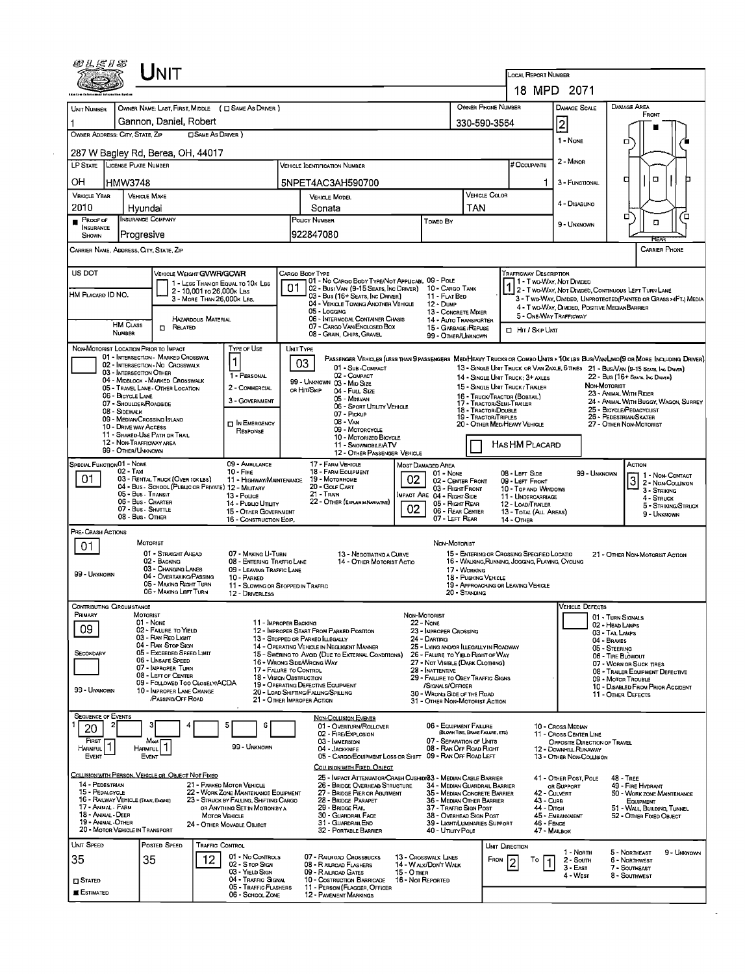| <i>©LE1S</i>                             | NIT                                                                          |                                                                                |                                                                              |                                                                                                 |                                  |                                                                            |                                  | LOCAL REPORT NUMBER                                                                             |                                                                        |                                      |                                                                                                                              |  |  |  |
|------------------------------------------|------------------------------------------------------------------------------|--------------------------------------------------------------------------------|------------------------------------------------------------------------------|-------------------------------------------------------------------------------------------------|----------------------------------|----------------------------------------------------------------------------|----------------------------------|-------------------------------------------------------------------------------------------------|------------------------------------------------------------------------|--------------------------------------|------------------------------------------------------------------------------------------------------------------------------|--|--|--|
|                                          |                                                                              |                                                                                |                                                                              |                                                                                                 |                                  |                                                                            |                                  |                                                                                                 | 18 MPD 2071                                                            |                                      |                                                                                                                              |  |  |  |
| <b>UNIT NUMBER</b>                       |                                                                              | OWNER NAME: LAST, FIRST, MIDDLE ( C SAME AS DRIVER )                           |                                                                              |                                                                                                 |                                  |                                                                            |                                  | <b>OWNER PHONE NUMBER</b>                                                                       | DAMAGE SCALE                                                           |                                      | DAMAGE AREA                                                                                                                  |  |  |  |
| 1                                        | Gannon, Daniel, Robert                                                       |                                                                                |                                                                              |                                                                                                 |                                  |                                                                            | 330-590-3564                     |                                                                                                 | $\overline{2}$                                                         |                                      | FRONT                                                                                                                        |  |  |  |
| OWNER ADDRESS: CITY, STATE, ZIP          |                                                                              | <b>CISAME AS DRIVER</b> )                                                      |                                                                              |                                                                                                 |                                  |                                                                            |                                  |                                                                                                 |                                                                        |                                      |                                                                                                                              |  |  |  |
|                                          | 287 W Bagley Rd, Berea, OH, 44017                                            |                                                                                |                                                                              |                                                                                                 |                                  |                                                                            |                                  |                                                                                                 | 1 - None                                                               |                                      | о                                                                                                                            |  |  |  |
|                                          | LP STATE LICENSE PLATE NUMBER                                                |                                                                                | VEHICLE IDENTIFICATION NUMBER                                                |                                                                                                 |                                  |                                                                            |                                  | # Occupants                                                                                     | 2 - MINOR                                                              |                                      |                                                                                                                              |  |  |  |
| OН                                       | <b>HMW3748</b>                                                               |                                                                                | 5NPET4AC3AH590700                                                            |                                                                                                 |                                  |                                                                            |                                  |                                                                                                 | 1<br>3 - FUNCTIONAL                                                    |                                      | $\Box$<br>а                                                                                                                  |  |  |  |
| <b>VEHICLE YEAR</b>                      | <b>VEHICLE MAKE</b>                                                          |                                                                                | <b>VEHICLE MODEL</b>                                                         |                                                                                                 |                                  |                                                                            | <b>VEHICLE COLOR</b>             |                                                                                                 |                                                                        |                                      |                                                                                                                              |  |  |  |
| 2010                                     | Hyundai                                                                      |                                                                                |                                                                              | TAN<br>Sonata                                                                                   |                                  |                                                                            |                                  |                                                                                                 | 4 - DISABLINO<br>▫<br>Έ                                                |                                      |                                                                                                                              |  |  |  |
| <b>PROOF OF</b><br><b>INSURANCE</b>      | <b>INSURANCE COMPANY</b>                                                     |                                                                                |                                                                              | <b>POLICY NUMBER</b><br><b>Towed By</b>                                                         |                                  |                                                                            |                                  |                                                                                                 | $\Box$<br>9 - UNKNOWN                                                  |                                      |                                                                                                                              |  |  |  |
| SHOWN                                    | Progresive<br>CARRIER NAME, ADDRESS, CITY, STATE, ZIP                        |                                                                                | 922847080                                                                    |                                                                                                 |                                  |                                                                            |                                  |                                                                                                 |                                                                        |                                      | FŒA<br><b>CARRIER PHONE</b>                                                                                                  |  |  |  |
|                                          |                                                                              |                                                                                |                                                                              |                                                                                                 |                                  |                                                                            |                                  |                                                                                                 |                                                                        |                                      |                                                                                                                              |  |  |  |
| <b>US DOT</b>                            |                                                                              | VEHICLE WEIGHT GVWR/GCWR<br>1 - LESS THAN OR EQUAL TO 10K LBS                  | CARGO BODY TYPE                                                              | 01 - No CARGO BODY TYPE/NOT APPLICABL 09 - POLE                                                 |                                  |                                                                            |                                  | TRAFFICWAY DESCRIPTION                                                                          | 1 - T WO-WAY, NOT DIVIDED                                              |                                      |                                                                                                                              |  |  |  |
| HM PLACARD ID NO.                        |                                                                              | 2 - 10,001 то 26,000к LBs<br>3 - MORE THAN 26,000K LBS.                        | 01                                                                           | 02 - Bus/ Van (9-15 Seats, Inc Driver) 10 - Cargo Tank<br>03 - Bus (16+ Seats, Inc Driver)      |                                  | 11 FLAT BED                                                                |                                  |                                                                                                 |                                                                        |                                      | 1 2 - T WO-WAY, NOT DIVIDED, CONTINUOUS LEFT TURN LANE<br>3 - Two-Way, DIMDED, UNPROTECTED (PAINTED OR GRASS >4FT.) MEDIA    |  |  |  |
|                                          |                                                                              |                                                                                | 05 - Loccing                                                                 | 04 - VEHICLE TOWING ANOTHER VEHICLE                                                             |                                  | 12 - Dunp<br>13 - CONCRETE MIXER                                           |                                  |                                                                                                 | 4 - T WO-WAY, DIMDED, POSITIVE MEDIANBARRIER<br>5 - ONE-WAY TRAFFICWAY |                                      |                                                                                                                              |  |  |  |
|                                          | <b>HM CLASS</b><br>$\Box$ Related                                            | <b>HAZARDOUS MATERIAL</b>                                                      |                                                                              | 06 - INTERMODAL CONTAINER CHASIS<br>07 - CARGO VAN/ENCLOSED BOX                                 |                                  | 14 - AUTO TRANSPORTER<br>15 - GARBAGE / REFUSE                             |                                  | HIT / SKIP UNT                                                                                  |                                                                        |                                      |                                                                                                                              |  |  |  |
|                                          | NUMBER                                                                       |                                                                                |                                                                              | 08 - GRAIN, CHIPS, GRAVEL                                                                       |                                  | 99 - OTHER/UNKNOWN                                                         |                                  |                                                                                                 |                                                                        |                                      |                                                                                                                              |  |  |  |
|                                          | NON-MOTORIST LOCATION PRIOR TO IMPACT<br>01 - INTERSECTION - MARKED CROSSWAL | Type of Use<br>$\mathbf 1$                                                     | <b>UMT TYPE</b>                                                              |                                                                                                 |                                  |                                                                            |                                  |                                                                                                 |                                                                        |                                      | PASSENGER VEHICLES (LESS THAN 9 PASSENGERS MED/HEAVY TRUCKS OR COMBO UNITS > 10K LBS BUS/VAWLIMO(9 OR MORE INCLUDING DRIVER) |  |  |  |
|                                          | 02 - INTERSECTION - NO CROSSWALK<br>03 - INTERSECTION OTHER                  | 1 - PERSONAL                                                                   | 03                                                                           | 01 - Sub-COMPACT<br>02 - COMPACT                                                                |                                  |                                                                            |                                  | 14 - SINGLE UNIT TRUCK: 3+ AXLES                                                                |                                                                        |                                      | 13 - SINGLE UNIT TRUCK OR VAN 2AXLE, 6 TIRES 21 - BUS/VAN (9-15 SEATS, INC DRIVER)<br>22 - Bus (16+ Seats, Ing Driver)       |  |  |  |
|                                          | 04 - MIDBLOCK - MARKED CROSSWALK<br>05 - TRAVEL LANE - OTHER LOCATION        | 2 - COMMERCIAL                                                                 | 99 - UNKNOWN 03 - MID SIZE<br>or Hit/Skip                                    | 04 - FULL SIZE                                                                                  |                                  |                                                                            |                                  | 15 - SINGLE UNIT TRUCK / TRAILER                                                                |                                                                        | NON-MOTORIST                         | 23 - ANIMAL WITH RIDER                                                                                                       |  |  |  |
|                                          | 06 - BICYCLE LANE<br>07 - SHOULDER/ROADSIDE                                  | 3 - GOVERNMENT                                                                 |                                                                              | 05 - MINIVAN<br>06 - SPORT UTILITY VEHICLE                                                      |                                  |                                                                            |                                  | 16 - Truck/Tractor (BOBTAIL)<br>17 - TRACTOR/SENI-TRAILER                                       |                                                                        |                                      | 24 - ANIMAL WITH BUGGY, WAGON, SURREY                                                                                        |  |  |  |
|                                          | 08 - SIDEWALK<br>09 - MEDIAN/CROSSING ISLANO                                 | <b>DI</b> N EMERGENCY                                                          |                                                                              | 07 - PICKUP<br>08 - VAN                                                                         |                                  |                                                                            | 19 - TRACTOR/TRIPLES             | 18 - TRACTOR/DOUBLE<br>20 - OTHER MED/HEAVY VEHICLE                                             |                                                                        |                                      | 25 - BICYCLE/PEDACYCUST<br>26 - PEDESTRIAN/SKATER                                                                            |  |  |  |
|                                          | 10 - DRIVE WAY ACCESS<br>11 - Shared-Use Path or Trail                       | RESPONSE                                                                       |                                                                              | 09 - MOTORCYCLE<br>10 - Motorized Bicycle                                                       |                                  |                                                                            |                                  |                                                                                                 |                                                                        |                                      | 27 - OTHER NON-MOTORIST                                                                                                      |  |  |  |
|                                          | 12 - NON-TRAFFICWAY AREA<br>99 - OTHER/UNKNOWN                               |                                                                                |                                                                              | 11 - SNOVMOBILE/ATV<br>12 - OTHER PASSENGER VEHICLE                                             |                                  |                                                                            |                                  | HAS HM PLACARD                                                                                  |                                                                        |                                      |                                                                                                                              |  |  |  |
| SPECIAL FUNCTION 01 - NONE               |                                                                              | 09 - AMBULANCE                                                                 |                                                                              | 17 - FARM VEHICLE                                                                               | <b>MOST DAMAGED AREA</b>         |                                                                            |                                  |                                                                                                 |                                                                        |                                      | Астюм                                                                                                                        |  |  |  |
| 01                                       | 02 - TAXI<br>03 - RENTAL TRUCK (OVER 10KLBS)                                 | $10 -$ Fire<br>11 - HIGHWAY/MAINTENANCE                                        |                                                                              | 18 - FARM EQUIPMENT<br>19 - MOTORHOME                                                           | 02                               | $01 - None$<br>02 - CENTER FRONT                                           |                                  | 08 - LEFT SIDE<br>09 - LEFT FRONT                                                               |                                                                        | 99 - Unknown                         | 1 - Non-Contact<br>3 2 - Non-Counsion                                                                                        |  |  |  |
|                                          | 04 - Bus - SCHOOL (PUBLIC OR PRIVATE) 12 - MILITARY<br>05 - Bus - Transit    | 13 - Pouce                                                                     | 21 - TRAN                                                                    | 20 - Gour CART                                                                                  |                                  | 03 - Right Front<br>IMPACT ARE 04 - RIGHT SIDE                             |                                  | 10 - TOP AND WINDOWS<br>11 - UNDERCARRIAGE                                                      |                                                                        |                                      | 3 - STRIKING<br>4 - STRUCK                                                                                                   |  |  |  |
|                                          | 06 - Bus - Charter<br>07 - Bus - SHUTTLE<br>08 - Bus - Other                 | 14 - Pusuc Unury<br>15 - OTHER GOVERNMENT                                      |                                                                              | 22 - OTHER (EXPLAIN IN NARRATIVE)                                                               | 02                               | 05 - Right Rear<br>06 - REAR CENTER                                        |                                  | 12 - LOAD/TRAILER<br>13 - TOTAL (ALL AREAS)                                                     |                                                                        |                                      | 5 - STRIKING/STRUCK<br>9 - UNKNOWN                                                                                           |  |  |  |
| PRE-CRASH ACTIONS                        |                                                                              | 16 - CONSTRUCTION EOIP.                                                        |                                                                              |                                                                                                 |                                  | 07 - LEFT REAR                                                             |                                  | 14 - OTHER                                                                                      |                                                                        |                                      |                                                                                                                              |  |  |  |
| 01                                       | <b>MOTORIST</b>                                                              |                                                                                |                                                                              |                                                                                                 |                                  | NON-MOTORIST                                                               |                                  |                                                                                                 |                                                                        |                                      |                                                                                                                              |  |  |  |
|                                          | 01 - STRAIGHT AHEAD<br>02 - BACKING                                          | 07 - MAKING U-TURN<br>08 - ENTERING TRAFFIC LANE                               |                                                                              | 13 - Negotiating a Curve<br>14 - OTHER MOTORIST ACTIO                                           |                                  |                                                                            |                                  | 15 - ENTERING OR CROSSING SPECIFIED LOCATIO<br>16 - WALKING, RUNNING, JOGGING, PLAYING, CYCLING |                                                                        |                                      | 21 - OTHER NON-MOTORIST ACTION                                                                                               |  |  |  |
| 99 - UNKNOWN                             | 03 - CHANGING LANES<br>04 - OVERTAKING/PASSING                               | 09 - LEAVING TRAFFIC LANE<br>10 - PARKED                                       | 17 - WORKING<br>18 - Pushing Vehicle                                         |                                                                                                 |                                  |                                                                            |                                  |                                                                                                 |                                                                        |                                      |                                                                                                                              |  |  |  |
|                                          | 05 - MAKING RIGHT TURN<br>06 - MAKING LEFT TURN                              | 12 - DRIVERLESS                                                                | 11 - SLOWING OR STOPPED IN TRAFFIC                                           |                                                                                                 |                                  |                                                                            | 20 - STANDING                    | 19 - APPROACHING OR LEAVING VEHICLE                                                             |                                                                        |                                      |                                                                                                                              |  |  |  |
| <b>CONTRIBUTING CIRCUMSTANCE</b>         |                                                                              |                                                                                |                                                                              |                                                                                                 |                                  |                                                                            |                                  |                                                                                                 | <b>VEHICLE DEFECTS</b>                                                 |                                      |                                                                                                                              |  |  |  |
| Primary                                  | MOTORIST<br>01 - None                                                        |                                                                                | 11 - IMPROPER BACKING                                                        |                                                                                                 | NON-MOTORIST<br><b>22 - None</b> |                                                                            |                                  |                                                                                                 |                                                                        | 01 - TURN SIGNALS<br>02 - HEAD LAMPS |                                                                                                                              |  |  |  |
| 09                                       | 02 - FALURE TO YIELD<br>03 - RAN RED LIGHT                                   |                                                                                | 12 - IMPROPER START FROM PARKED POSITION<br>13 - STOPPED OR PARKED ILLEGALLY |                                                                                                 |                                  | 23 - IMPROPER CROSSING<br>24 - DARTING                                     |                                  |                                                                                                 |                                                                        | 03 - TAL LAMPS<br>04 - BRAKES        |                                                                                                                              |  |  |  |
| SECONDARY                                | 04 - RAN STOP SIGN<br>05 - Exceeded Speed LIMIT                              |                                                                                | 14 - OPERATING VEHICLE IN NEGLIGENT MANNER                                   | 15 - Swering to Avoid (Due to External Conditions)                                              |                                  | 25 - LYING AND/OR LLEGALLY IN ROADWAY<br>26 - FALURE TO YIELD RIGHT OF WAY |                                  |                                                                                                 |                                                                        | 05 - STEERING                        | 06 - TIRE BLOWOUT                                                                                                            |  |  |  |
|                                          | 06 - UNSAFE SPEED<br>07 - IMPROPER TURN                                      |                                                                                | 16 - WRONG SIDE/WRONG WAY<br>17 - FALURE TO CONTROL                          |                                                                                                 |                                  | 27 - NOT VISIBLE (DARK CLOTHING)<br>28 - INATTENTIVE                       |                                  |                                                                                                 |                                                                        |                                      | 07 - WORN OR SUCK TIRES<br>08 - TRAILER EQUIPMENT DEFECTIVE                                                                  |  |  |  |
|                                          | 08 - LEFT OF CENTER<br>09 - FOLLOWED TOO CLOSELY/ACDA                        |                                                                                | 18 - Viston OasTRUCTION<br>19 - OPERATING DEFECTIVE EQUIPMENT                |                                                                                                 |                                  | 29 - FALURE TO OBEY TRAFFIC SIGNS<br>/SIGNALS/OFFICER                      |                                  |                                                                                                 |                                                                        |                                      | 09 - MOTOR TROUBLE<br>10 - DISABLED FROM PRIOR ACCIDENT                                                                      |  |  |  |
| 99 - UNKNOWN                             | 10 - IMPROPER LANE CHANGE<br>/PASSING/OFF ROAD                               |                                                                                | 20 - LOAD SHIFTING/FALLING/SPILLING<br>21 - OTHER IMPROPER ACTION            |                                                                                                 |                                  | 30 - WRONG SIDE OF THE ROAD<br>31 - OTHER NON-MOTORIST ACTION              |                                  |                                                                                                 |                                                                        |                                      | 11 - OTHER DEFECTS                                                                                                           |  |  |  |
| <b>SEQUENCE OF EVENTS</b>                |                                                                              | 5<br>6                                                                         |                                                                              | <b>NON-COLLISION EVENTS</b>                                                                     |                                  | 06 - EQUIPMENT FAILURE                                                     |                                  |                                                                                                 |                                                                        |                                      |                                                                                                                              |  |  |  |
| 20<br>FIRST                              |                                                                              |                                                                                |                                                                              | 01 - Overturn/Rollover<br>02 - FIRE/EXPLOSION                                                   |                                  | 07 - SEPARATION OF UNITS                                                   | (BLOWN TIRE, BRAKE FAILURE, ETC) |                                                                                                 | 10 - Cross Median<br>11 - Cross Center Line                            |                                      |                                                                                                                              |  |  |  |
| HARMFUL <sup>T</sup>                     | Most<br>HARMFUL                                                              | 99 - UNKNOWN                                                                   |                                                                              | 03 - IMMERSION<br>04 - JACKKNIFE<br>05 - CARGO/EOUIPMENT LOSS OR SHIFT 09 - RAN OFF ROAD LEFT   |                                  | 08 - RAN OFF ROAD RIGHT                                                    |                                  |                                                                                                 | OPPOSITE DIRECTION OF TRAVEL<br>12 - DOWNHILL RUNAWAY                  |                                      |                                                                                                                              |  |  |  |
| EVENT                                    | EVENT                                                                        |                                                                                |                                                                              | COLLISION WITH FIXED, OBJECT                                                                    |                                  |                                                                            |                                  |                                                                                                 | 13 - Other Non-Collision                                               |                                      |                                                                                                                              |  |  |  |
| 14 - PEDESTRIAN                          | COLLISION WITH PERSON, VEHICLE OR OBJECT NOT FIXED                           | 21 - PARKED MOTOR VEHICLE                                                      |                                                                              | 25 - IMPACT ATTENUATOR/CRASH CUSHID/83 - MEDIAN CABLE BARRIER<br>26 - BRIDGE OVERHEAD STRUCTURE |                                  | 34 - MEDIAN GUARDRAIL BARRIER                                              |                                  |                                                                                                 | 41 - OTHER POST, POLE<br>OR SUPPORT                                    |                                      | 48 TREE<br>49 - FIRE HYDRANT                                                                                                 |  |  |  |
| 15 - PEDALCYCLE                          | 16 - RAILWAY VEHICLE (TRAIN, ENGINE)                                         | 22 - WORK ZONE MAINTENANCE EQUIPMENT<br>23 - STRUCK BY FALLING, SHIFTING CARGO |                                                                              | 27 - BRIDGE PIER OR ABUTMENT<br>28 - BRIDGE PARAPET                                             |                                  | 35 - MEDIAN CONCRETE BARRIER<br>36 - MEDIAN OTHER BARRIER                  |                                  |                                                                                                 | 42 - CULVERT<br>43 - Curs                                              |                                      | 50 - WORK ZONE MAINTENANCE<br>EQUIPMENT                                                                                      |  |  |  |
| 17 - Animal - Farm<br>18 - ANIMAL - DEER |                                                                              | OR ANYTHING SET IN MOTION BY A<br>MOTOR VEHICLE                                |                                                                              | 29 - BRIDGE RAIL<br>30 - GUARDRAIL FACE                                                         |                                  | 37 - TRAFFIC SIGN POST<br>38 - Overhead Sign Post                          |                                  |                                                                                                 | 44 - Олсн<br>45 - Embankment                                           |                                      | 51 - WALL BUILDING, TUNNEL<br>52 - OTHER FIXED OBJECT                                                                        |  |  |  |
| 19 - ANMAL-OTHER                         | 20 - MOTOR VEHICLE IN TRANSPORT                                              | 24 - OTHER MOVABLE OBJECT                                                      |                                                                              | 31 - GUARDRAILEND<br>32 - PORTABLE BARRIER                                                      |                                  | 39 - LIGHT/LUMINARIES SUPPORT<br>40 - UTILITY POLE                         |                                  |                                                                                                 | 46 - FENCE<br>47 - MALBOX                                              |                                      |                                                                                                                              |  |  |  |
| UNIT SPEED                               | Posted Speed                                                                 | TRAFFIC CONTROL                                                                |                                                                              |                                                                                                 |                                  |                                                                            |                                  | UNIT DIRECTION                                                                                  |                                                                        |                                      | 5 - NORTHEAST                                                                                                                |  |  |  |
| 35                                       | 35                                                                           | 01 - No CONTROLS<br>12<br>02 - S TOP SIGN                                      |                                                                              | 07 - RAILROAD CROSSBUCKS<br>08 - R AILROAD FLASHERS                                             |                                  | 13 - Crosswalk LINES<br>14 - WALK/DON'T WALK                               |                                  | Frou<br>To<br>2                                                                                 | 1 - North<br>2 - South<br>1                                            |                                      | 9 - Unknown<br>6 - NORTHWEST                                                                                                 |  |  |  |
| <b>CI STATED</b>                         |                                                                              | 03 - YIELD SIGN<br>04 - TRAFFIC SIGNAL                                         |                                                                              | 09 - RALROAD GATES<br>10 - COSTRUCTION BARRICADE 16 - NOT REPORTED                              | 15 - Отнев                       |                                                                            |                                  |                                                                                                 | $3 - EAST$<br>4 - WEST                                                 |                                      | 7 - Southeast<br>8 - Southwest                                                                                               |  |  |  |
| E Estimated                              |                                                                              | 05 - TRAFFIC FLASHERS<br>06 - SCHOOL ZONE                                      |                                                                              | 11 - PERSON (FLAGGER, OFFICER<br>12 - PAVEMENT MARKINGS                                         |                                  |                                                                            |                                  |                                                                                                 |                                                                        |                                      |                                                                                                                              |  |  |  |
|                                          |                                                                              |                                                                                |                                                                              |                                                                                                 |                                  |                                                                            |                                  |                                                                                                 |                                                                        |                                      |                                                                                                                              |  |  |  |

ä,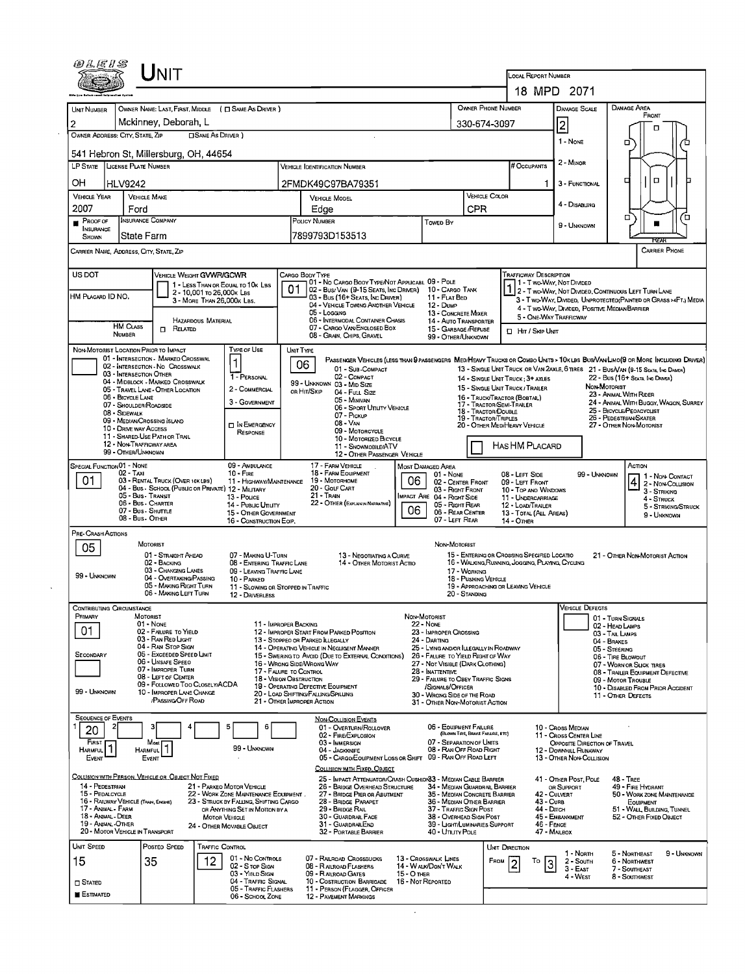|                                         |                                                |                                                                              |                                                                          |                                                                   |                                                                                                                                                  |                                                |                                                               | <b>LOCAL REPORT NUMBER</b>                                                                     | 18 MPD 2071                                            |                                                                                    |  |  |
|-----------------------------------------|------------------------------------------------|------------------------------------------------------------------------------|--------------------------------------------------------------------------|-------------------------------------------------------------------|--------------------------------------------------------------------------------------------------------------------------------------------------|------------------------------------------------|---------------------------------------------------------------|------------------------------------------------------------------------------------------------|--------------------------------------------------------|------------------------------------------------------------------------------------|--|--|
|                                         |                                                |                                                                              |                                                                          |                                                                   |                                                                                                                                                  |                                                | <b>OWNER PHONE NUMBER</b>                                     |                                                                                                | <b>DAMAGE SCALE</b>                                    | <b>DANAGE AREA</b>                                                                 |  |  |
| <b>UNIT NUMBER</b>                      |                                                | OWNER NAME: LAST, FIRST, MIDDLE ( C SAME AS DRIVER )<br>Mckinney, Deborah, L |                                                                          |                                                                   |                                                                                                                                                  |                                                |                                                               |                                                                                                |                                                        | FRONT                                                                              |  |  |
| 2<br>OWNER ADDRESS: CITY, STATE, ZIP    |                                                | <b>CISAME AS DRIVER</b> )                                                    |                                                                          |                                                                   |                                                                                                                                                  |                                                | 330-674-3097                                                  |                                                                                                | 2                                                      | D                                                                                  |  |  |
|                                         |                                                |                                                                              |                                                                          |                                                                   |                                                                                                                                                  |                                                |                                                               |                                                                                                | 1 - None                                               | о                                                                                  |  |  |
|                                         |                                                | 541 Hebron St, Millersburg, OH, 44654                                        |                                                                          |                                                                   |                                                                                                                                                  |                                                |                                                               |                                                                                                | 2 - MINOR                                              |                                                                                    |  |  |
| LP STATE   LICENSE PLATE NUMBER         |                                                |                                                                              |                                                                          | <b>VEHICLE IDENTIFICATION NUMBER</b>                              |                                                                                                                                                  |                                                |                                                               | <b># Occupants</b>                                                                             |                                                        |                                                                                    |  |  |
| OН                                      | <b>HLV9242</b>                                 |                                                                              |                                                                          |                                                                   | 2FMDK49C97BA79351                                                                                                                                |                                                |                                                               | -1                                                                                             | 3 - FUNCTIONAL                                         | $\Box$<br>q                                                                        |  |  |
| <b>VEHICLE YEAR</b>                     | <b>VEHICLE MAKE</b>                            |                                                                              |                                                                          |                                                                   | <b>VEHICLE MODEL</b>                                                                                                                             |                                                | <b>VEHICLE COLOR</b>                                          |                                                                                                | 4 - DISABLING                                          |                                                                                    |  |  |
| 2007                                    | Ford                                           |                                                                              |                                                                          | Edge                                                              |                                                                                                                                                  |                                                | CPR                                                           |                                                                                                |                                                        | о                                                                                  |  |  |
| <b>PROOF OF</b><br><b>INSURANCE</b>     | <b>INSURANCE COMPANY</b>                       |                                                                              |                                                                          | POLICY NUMBER                                                     |                                                                                                                                                  | <b>Towed By</b>                                |                                                               |                                                                                                | 9 - UNKNOWN                                            |                                                                                    |  |  |
| <b>SHOWN</b>                            | State Farm                                     |                                                                              |                                                                          |                                                                   | 7899793D153513                                                                                                                                   |                                                |                                                               |                                                                                                |                                                        | RFAF                                                                               |  |  |
| CARRIER NAME, ADDRESS, CITY, STATE, ZIP |                                                |                                                                              |                                                                          |                                                                   |                                                                                                                                                  |                                                |                                                               |                                                                                                |                                                        | CARRIER PHONE                                                                      |  |  |
| US DOT                                  |                                                | VEHICLE WEIGHT GVWR/GCWR                                                     |                                                                          | CARGO BODY TYPE                                                   |                                                                                                                                                  |                                                |                                                               | <b>TRAFFICWAY DESCRIPTION</b>                                                                  |                                                        |                                                                                    |  |  |
| 1 - LESS THAN OR EQUAL TO 10K LBS       |                                                |                                                                              |                                                                          |                                                                   | 01 - No CARGO BOOY TYPE/NOT APPLICABL 09 - POLE<br>07   02 - Bus/Van (9-15 Seats, Inc Driver)   10 - Cargo Tank                                  |                                                |                                                               |                                                                                                | 1 - T wo-Way, Not Divideo                              | 1 2 - T WO-WAY, NOT DIVIDED, CONTINUOUS LEFT TURN LANE                             |  |  |
| HM PLACARD ID NO.                       |                                                | 2 - 10,001 To 26,000k Las<br>3 - MORE THAN 26,000K LBS.                      |                                                                          |                                                                   | 03 - Bus (16+ SEATS, INC DRIVER)                                                                                                                 | 11 - FLAT BED                                  |                                                               |                                                                                                |                                                        | 3 - T WO-WAY, DIVIDED, UNPROTECTED (PAINTED OR GRASS >4FT.) MEDIA                  |  |  |
|                                         |                                                |                                                                              |                                                                          | 05 - Logging                                                      | 04 - VEHICLE TOWING ANOTHER VEHICLE                                                                                                              | 12 - Dump<br>13 - CONCRETE MIXER               |                                                               | 5 - ONE-WAY TRAFFICWAY                                                                         | 4 - Two Way, DIMDED, POSITIVE MEDIAN BARRIER           |                                                                                    |  |  |
|                                         | <b>HM CLASS</b>                                | <b>HAZARDOUS MATERIAL</b><br>$\Box$ Related                                  |                                                                          |                                                                   | 06 - INTERMODAL CONTAINER CHASIS<br>07 - CARGO VAN/ENGLOSED BOX                                                                                  | 14 - AUTO TRANSPORTER<br>15 - GARBAGE /REFUSE  |                                                               | <b>D</b> HIT / SKIP UNIT                                                                       |                                                        |                                                                                    |  |  |
|                                         | <b>NUMBER</b>                                  |                                                                              |                                                                          |                                                                   | 08 - GRAIN, CHIPS, GRAVEL                                                                                                                        | 99 - OTHER/UNKNOWN                             |                                                               |                                                                                                |                                                        |                                                                                    |  |  |
| NON-MOTORIST LOCATION PRIOR TO IMPACT   |                                                | 01 - INTERSECTION MARKED CROSSWAL                                            | Type or Use                                                              | UNIT TYPE                                                         |                                                                                                                                                  |                                                |                                                               |                                                                                                |                                                        |                                                                                    |  |  |
|                                         |                                                | 02 - INTERSECTION No CROSSWALK                                               | 1                                                                        | 06                                                                | PASSENGER VEHICLES (LESS THAN 9 PASSENGERS MED/HEAVY TRUCKS OR COMBO UNTS > 10K LBS BUS/VAW LIMO(9 OR MORE INCLUDING DRIVER)<br>01 - Sub-COMPACT |                                                |                                                               |                                                                                                |                                                        | 13 - SINGLE UNIT TRUCK OR VAN 2AXLE, 6 TIRES 21 - BUS/VAN (9-15 SEATS, INC DRIVER) |  |  |
|                                         | 03 - INTERSECTION OTHER                        | 04 - MIDBLOCK - MARKED CROSSWALK                                             | 1 - PERSONAL                                                             |                                                                   | 02 - COMPACT<br>99 - UNKNOWN 03 - MID SIZE                                                                                                       |                                                |                                                               | 14 - SINGLE UNIT TRUCK : 3+ AXLES                                                              |                                                        | 22 - BUS (16+ SEATS, INC DRIVER)<br>NON-MOTORIST                                   |  |  |
|                                         | 06 - BICYCLE LANE                              | 05 - TRAVEL LANE - OTHER LOCATION                                            | 2 - COMMERCIAL                                                           | OR HIT/SKIP                                                       | 04 - Full Size<br>05 - MINIVAN                                                                                                                   |                                                | 16 - TRUCK/TRACTOR (BOBTAL)                                   | 15 - SINGLE UNIT TRUCK / TRALER                                                                |                                                        | 23 - ANIMAL WITH RIDER                                                             |  |  |
|                                         | 07 - SHOULDER/ROADSIDE<br>08 - SIDEWALK        |                                                                              | 3 - GOVERNMENT                                                           |                                                                   | 06 - SPORT UTILITY VEHICLE                                                                                                                       |                                                | 17 - TRACTOR/SEMI-TRAILER<br>18 - Tractor/Double              |                                                                                                |                                                        | 24 - ANIMAL WITH BUGGY, WAGON, SURREY<br>25 - BICYCLE/PEDACYCLIST                  |  |  |
|                                         | 09 - MEDIAN/CROSSING ISLAND                    |                                                                              | IN EMERGENCY                                                             |                                                                   | 07 - PICKUP<br>08 - VAN                                                                                                                          |                                                | 19 - TRACTOR/TRIPLES                                          | 20 - OTHER MED/HEAVY VEHICLE                                                                   |                                                        | 26 - PEDESTRIAN/SKATER<br>27 - OTHER NON-MOTORIST                                  |  |  |
|                                         | 10 - DRIVE WAY ACCESS                          | 11 - SHARED-USE PATH OR TRAIL                                                | RESPONSE                                                                 |                                                                   | 09 - MOTORCYCLE<br>10 - MOTORIZED BICYCLE                                                                                                        |                                                |                                                               |                                                                                                |                                                        |                                                                                    |  |  |
|                                         | 12 - NON-TRAFFICWAY AREA<br>99 - OTHER/UNKNOWN |                                                                              |                                                                          |                                                                   | 11 - SNOWMOBILE/ATV<br>12 - OTHER PASSENGER VEHICLE                                                                                              |                                                |                                                               | HAS HM PLACARD                                                                                 |                                                        |                                                                                    |  |  |
| SPECIAL FUNCTION 01 - NONE              |                                                |                                                                              | 09 - AMBULANCE                                                           |                                                                   | 17 - FARM VEHICLE                                                                                                                                | MOST DAMAGED AREA                              |                                                               |                                                                                                |                                                        | Аспом                                                                              |  |  |
| 01                                      | 02 - Taxi                                      | 03 - RENTAL TRUCK (OVER 10KLBS)                                              | $10 -$ FIRE<br>11 - HIGHWAY/MAINTENANCE                                  |                                                                   | 18 - FARM EQUIPMENT<br>06<br>19 - Мотовноме                                                                                                      | 01 - None<br>02 - CENTER FRONT                 |                                                               | 08 - LEFT SIDE<br>09 - LEFT FRONT                                                              | 99 - UNKNOWN                                           | 1 1 - Non-Contact                                                                  |  |  |
|                                         | 05 - Bus - Transit                             | 04 - Bus - SCHOOL (PUBLIC OR PRIVATE) 12 - MILITARY                          | 13 - Pouce                                                               | $21 -$ Tran                                                       | 20 - GOLF CART                                                                                                                                   | 03 - Right Front<br>IMPACT ARE 04 - RIGHT SIDE |                                                               | 10 - TOP ANO WINDOWS                                                                           |                                                        | $42$ - Non-Coursion<br>3 - STRIKING                                                |  |  |
|                                         | 06 - Bus - Charter<br>07 - Bus - SHUTTLE       |                                                                              | 14 - PUBLIC UTILITY                                                      |                                                                   | 22 - OTHER (EXPLAIN IN NARRATIVE)<br>06                                                                                                          | 05 - RIGHT REAR                                |                                                               | 11 - UNDERCARRIAGE<br>12 - LOAD/TRALER                                                         |                                                        | 4 - STRUCK<br>5 - STRIKING/STRUCK                                                  |  |  |
|                                         | 08 - Bus - OTHER                               |                                                                              | 15 - OTHER GOVERNMENT<br>16 - CONSTRUCTION EQIP.                         |                                                                   |                                                                                                                                                  | 06 - REAR CENTER<br>07 - LEFT REAR             |                                                               | 13 - TOTAL (ALL AREAS)<br><b>14 - OTHER</b>                                                    |                                                        | 9 - UNKNOWN                                                                        |  |  |
| Pre- Crash Actions                      |                                                |                                                                              |                                                                          |                                                                   |                                                                                                                                                  |                                                |                                                               |                                                                                                |                                                        |                                                                                    |  |  |
| 05                                      | MOTORIST                                       |                                                                              |                                                                          |                                                                   |                                                                                                                                                  | NON-MOTORIST                                   |                                                               |                                                                                                |                                                        |                                                                                    |  |  |
|                                         |                                                | 01 - STRAIGHT AHEAD<br>02 - BACKING                                          | 07 - MAKING U-TURN<br>08 - ENTERING TRAFFIC LANE                         |                                                                   | 13 - NEGOTIATING A CURVE<br>14 - OTHER MOTORIST ACTIO                                                                                            |                                                |                                                               | 15 - ENTERING OR CROSSING SPECIFIED LOCATIO<br>16 - WALKING RUNNING, JOGGING, PLAYING, CYCLING |                                                        | 21 - OTHER NON-MOTORIST ACTION                                                     |  |  |
| 99 - UNKNOWN                            |                                                | 03 - CHANGING LANES<br>04 - OVERTAKING/PASSING                               | 09 - LEAVING TRAFFIC LANE<br>10 - PARKED                                 |                                                                   |                                                                                                                                                  |                                                | 17 - WORKING<br>18 - PUSHING VEHICLE                          |                                                                                                |                                                        |                                                                                    |  |  |
|                                         |                                                | 05 - MAKING RIGHT TURN<br>06 - MAKING LEFT TURN                              | 11 - SLOWING OR STOPPED IN TRAFFIC<br>12 - DRIVERLESS                    |                                                                   |                                                                                                                                                  |                                                | 20 - STANDING                                                 | 19 - APPROACHING OR LEAVING VEHICLE                                                            |                                                        |                                                                                    |  |  |
| CONTRIBUTING CIRCUMSTANCE               |                                                |                                                                              |                                                                          |                                                                   |                                                                                                                                                  |                                                |                                                               |                                                                                                | <b>VEHICLE DEFECTS</b>                                 |                                                                                    |  |  |
| Primary                                 | MOTORIST                                       |                                                                              |                                                                          | 11 - IMPROPER BACKING                                             |                                                                                                                                                  | NON-MOTORIST                                   |                                                               |                                                                                                |                                                        |                                                                                    |  |  |
|                                         | 01 - None                                      |                                                                              |                                                                          |                                                                   |                                                                                                                                                  |                                                |                                                               |                                                                                                |                                                        | 01 - TURN SIGNALS                                                                  |  |  |
| 01                                      |                                                | 02 - FAILURE TO YIELD                                                        |                                                                          |                                                                   | 12 - IMPROPER START FROM PARKED POSITION                                                                                                         | <b>22 - None</b><br>23 - IMPROPER CROSSING     |                                                               |                                                                                                |                                                        | 02 - HEAD LAMPS<br>03 - TAIL LAMPS                                                 |  |  |
|                                         |                                                | 03 - RAN RED LIGHT<br>04 - RAN STOP SIGN                                     |                                                                          | 13 - STOPPEO OR PARKED ILLEGALLY                                  | 14 - OPERATING VEHICLE IN NEGLIGENT MANNER                                                                                                       | 24 - DARTING                                   | 25 - LYING AND/OR LUEGALLY IN ROADWAY                         |                                                                                                |                                                        | 04 - BRAKES                                                                        |  |  |
| SECONDARY                               |                                                | 05 - Exceeded Speed LIMIT                                                    |                                                                          |                                                                   | 15 - SWERING TO AVOID (DUE TO EXTERNAL CONOITIONS)                                                                                               |                                                | 26 - FALURE TO YIELD RIGHT OF WAY                             |                                                                                                |                                                        | 05 - STEERING<br>06 - TIRE BLOWOUT                                                 |  |  |
|                                         |                                                | 06 - UNSAFE SPEED<br>07 - IMPROPER TURN                                      |                                                                          | 16 - Wrong Side/Wrong Way<br>17 - FALURE TO CONTROL               |                                                                                                                                                  | 28 - INATTENTIVE                               | 27 - NOT VISIBLE (DARK CLOTHING)                              |                                                                                                |                                                        | 07 - WORN OR SUCK TIRES                                                            |  |  |
|                                         |                                                | 08 - LEFT OF CENTER<br>09 - FOLLOWED TOO CLOSELY/ACDA                        |                                                                          | 18 - VISION OBSTRUCTION<br>19 - OPERATING DEFECTIVE EQUIPMENT     |                                                                                                                                                  | /SIGNALS/OFFICER                               | 29 - FAILURE TO OBEY TRAFFIC SIGNS                            |                                                                                                |                                                        | 09 - MOTOR TROUBLE                                                                 |  |  |
| 99 - UNKNOWN                            |                                                | 10 - IMPROPER LANE CHANGE<br>/PASSING/OFF ROAD                               |                                                                          | 20 - LOAD SHIFTING/FALLING/SPILLING<br>21 - OTHER IMPROPER ACTION |                                                                                                                                                  | 30 - WRONG SIDE OF THE ROAD                    | 31 - OTHER NON-MOTORIST ACTION                                |                                                                                                |                                                        | 11 - OTHER DEFECTS                                                                 |  |  |
|                                         |                                                |                                                                              |                                                                          |                                                                   |                                                                                                                                                  |                                                |                                                               |                                                                                                |                                                        |                                                                                    |  |  |
| <b>SEQUENCE OF EVENTS</b>               |                                                |                                                                              | 6                                                                        |                                                                   | <b>NON-COLLISION EVENTS</b><br>01 - OVERTURN/ROLLOVER                                                                                            | 06 - EQUIPMENT FAILURE                         |                                                               |                                                                                                | 10 - Cross Median                                      |                                                                                    |  |  |
| 20<br>FIRST                             |                                                | Most <b>1</b>                                                                |                                                                          |                                                                   | 02 - FIRE/EXPLOSION<br>03 - IMMERSION                                                                                                            |                                                | (BLOWN TIRE, BRAKE FAILURE, ETC)<br>07 - SEPARATION OF UNITS  |                                                                                                | 11 - CROSS CENTER LINE<br>OPPOSITE DIRECTION OF TRAVEL |                                                                                    |  |  |
| HARMFUL <sup>1</sup><br>EVENT           | HARMFUL<br><b>EVENT</b>                        |                                                                              | 99 - UMXNOWN                                                             |                                                                   | 04 - JACKKNIFE<br>05 - CARGO/EQUIPMENT LOSS OR SHIFT 09 - RAN OFF ROAD LEFT                                                                      |                                                | 08 - RAN OFF ROAD RIGHT                                       |                                                                                                | 12 - DOWNHILL RUNAWAY<br>13 - OTHER NON-COLLISION      |                                                                                    |  |  |
|                                         |                                                |                                                                              |                                                                          |                                                                   | COLLISION WITH FIXED, OBJECT                                                                                                                     |                                                |                                                               |                                                                                                |                                                        | 08 - TRAILER EQUIPMENT DEFECTIVE<br>10 - DISABLED FROM PRIDR ACCIDENT              |  |  |
|                                         |                                                | COLLISION WITH PERSON, VEHICLE OR OBJECT NOT FIXED                           |                                                                          |                                                                   | 25 - IMPACT ATTENUATOR/CRASH CUSHION33 - MEDIAN CABLE BARRIER                                                                                    |                                                |                                                               |                                                                                                | 41 - OTHER POST, POLE                                  | $48 - TREF$                                                                        |  |  |
| 14 - PEDESTRIAN<br>15 - PEDALCYCLE      |                                                |                                                                              | 21 - PARKEO MOTOR VEHICLE<br>22 - WORK ZONE MAINTENANCE EQUIPMENT.       |                                                                   | 26 - BRIDGE OVERHEAD STRUCTURE<br>27 - BRIDGE PIER OR ABUTMENT                                                                                   |                                                | 34 - MEDIAN GUARDRAIL BARRIER<br>35 - MEDIAN CONCRETE BARRIER |                                                                                                | OR SUPPORT<br>42 - Culvert                             | 49 - FIRE HYDRANT<br>50 - WORK ZONE MAINTENANCE                                    |  |  |
| 17 - Animal - Farm                      | 16 - RAILWAY VEHICLE (TRAIN, ENGINE)           |                                                                              | 23 - STRUCK BY FALLING, SHIFTING CARGO<br>OR ANYTHING SET IN MOTION BY A |                                                                   | 28 - BRIDGE PARAPET<br>29 - BRIDGE RAIL                                                                                                          | 37 - TRAFFIC SIGN POST                         | 36 - MEDIAN OTHER BARRIER                                     | 43 - Curb<br>44 - Олсн                                                                         |                                                        | EOUPMENT<br>51 - WALL, BUILDING, TUNNEL                                            |  |  |
| 18 - Animal Deer<br>19 - ANMAL OTHER    |                                                |                                                                              | <b>MOTOR VEHICLE</b>                                                     |                                                                   | 30 - GUARDRAIL FACE<br>31 - GUARDRAILEND                                                                                                         |                                                | 38 - OVERHEAD SIGN POST<br>39 - LIGHT/LUMINARIES SUPPORT      | 46 - FENCE                                                                                     | 45 - EMBANKMENT                                        |                                                                                    |  |  |
|                                         | 20 - MOTOR VEHICLE IN TRANSPORT                |                                                                              | 24 - OTHER MOVABLE OBJECT                                                |                                                                   | 32 - PORTABLE BARRIER                                                                                                                            | 40 - UTILITY POLE                              |                                                               |                                                                                                | 47 - MALBOX                                            |                                                                                    |  |  |
| UNIT SPEED                              |                                                | Posted SPEED                                                                 | Traffic Control                                                          |                                                                   |                                                                                                                                                  |                                                |                                                               | <b>UNIT DIRECTION</b>                                                                          |                                                        | 52 - OTHER FIXED OBJECT                                                            |  |  |
| 15                                      | 35                                             | 12                                                                           | 01 - No Controls<br>02 - S TOP SIGN                                      |                                                                   | 07 - RAILROAD CROSSBUCKS                                                                                                                         | 13 - CROSSWALK LINES<br>14 - WALK/DON'T WALK   | FROM                                                          | То<br>2                                                                                        | 1 - Norm<br>2 - South                                  | 5 - NORTHEAST<br>9 - UNKNOWN<br><b>6 - NORTHWEST</b>                               |  |  |
|                                         |                                                |                                                                              | 03 - YIELD SIGN                                                          |                                                                   | 08 - R ALROAD FLASHERS<br>15 - О тнен<br>09 - R ALROAD GATES                                                                                     |                                                |                                                               | 3                                                                                              | 3 - East<br>4 - West                                   | 7 - SOUTHEAST<br>8 - Southwest                                                     |  |  |
| <b>STATED</b><br>ESTIMATED              |                                                |                                                                              | 04 - TRAFFIC SIGNAL<br>05 - TRAFFIC FLASHERS<br>06 - SCHOOL ZONE         |                                                                   | 10 - COSTRUCTION BARRICADE 16 - NOT REPORTED<br>11 - PERSON (FLAGGER, OFFICER<br><b>12 - PAVEMENT MARKINGS</b>                                   |                                                |                                                               |                                                                                                |                                                        |                                                                                    |  |  |